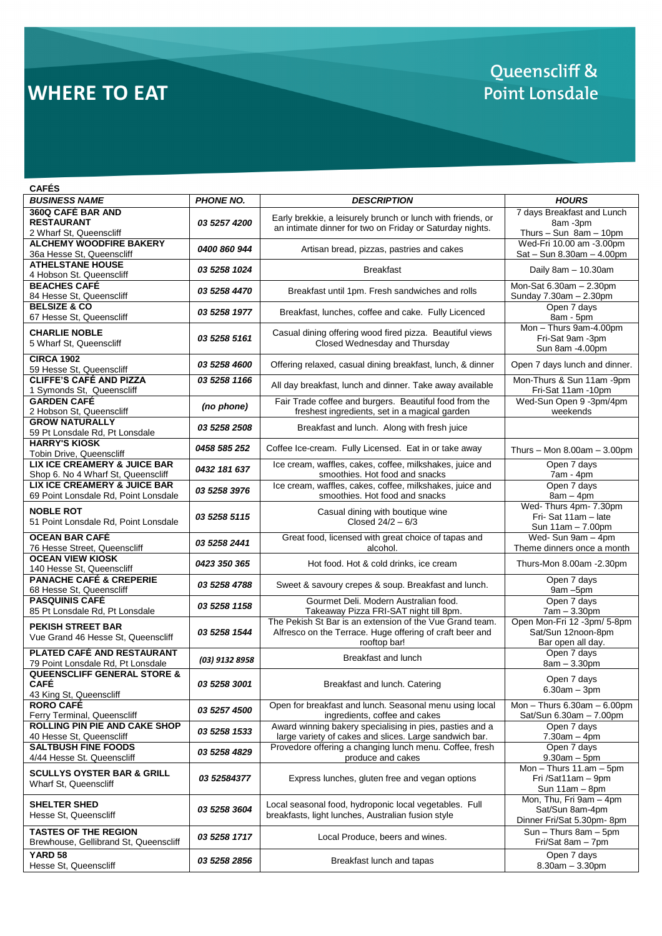# **WHERE TO EAT**

## Queenscliff & Point Lonsdale

| <b>CAFÉS</b>                                                                     |                            |                                                                                                                                      |                                                                         |
|----------------------------------------------------------------------------------|----------------------------|--------------------------------------------------------------------------------------------------------------------------------------|-------------------------------------------------------------------------|
| <b>BUSINESS NAME</b>                                                             | <b>PHONE NO.</b>           | <b>DESCRIPTION</b>                                                                                                                   | <b>HOURS</b>                                                            |
| 360Q CAFÉ BAR AND<br><b>RESTAURANT</b><br>2 Wharf St, Queenscliff                | 03 5257 4200               | Early brekkie, a leisurely brunch or lunch with friends, or<br>an intimate dinner for two on Friday or Saturday nights.              | 7 days Breakfast and Lunch<br>8am -3pm<br>Thurs $-$ Sun $8am - 10pm$    |
| <b>ALCHEMY WOODFIRE BAKERY</b><br>36a Hesse St, Queenscliff                      | 0400 860 944               | Artisan bread, pizzas, pastries and cakes                                                                                            | Wed-Fri 10.00 am -3.00pm<br>Sat - Sun 8.30am - 4.00pm                   |
| <b>ATHELSTANE HOUSE</b><br>4 Hobson St. Queenscliff                              | 03 5258 1024               | <b>Breakfast</b>                                                                                                                     | Daily 8am - 10.30am                                                     |
| <b>BEACHES CAFÉ</b><br>84 Hesse St, Queenscliff                                  | 03 5258 4470               | Breakfast until 1pm. Fresh sandwiches and rolls                                                                                      | Mon-Sat 6.30am - 2.30pm<br>Sunday 7.30am - 2.30pm                       |
| <b>BELSIZE &amp; CO</b><br>67 Hesse St, Queenscliff                              | 03 5258 1977               | Breakfast, lunches, coffee and cake. Fully Licenced                                                                                  | Open 7 days<br>8am - 5pm                                                |
| <b>CHARLIE NOBLE</b><br>5 Wharf St, Queenscliff                                  | 03 5258 5161               | Casual dining offering wood fired pizza. Beautiful views<br>Closed Wednesday and Thursday                                            | Mon - Thurs 9am-4.00pm<br>Fri-Sat 9am -3pm<br>Sun 8am -4.00pm           |
| <b>CIRCA 1902</b><br>59 Hesse St. Queenscliff                                    | 03 5258 4600               | Offering relaxed, casual dining breakfast, lunch, & dinner                                                                           | Open 7 days lunch and dinner.                                           |
| <b>CLIFFE'S CAFÉ AND PIZZA</b><br>1 Symonds St, Queenscliff                      | 03 5258 1166               | All day breakfast, lunch and dinner. Take away available                                                                             | Mon-Thurs & Sun 11am -9pm<br>Fri-Sat 11am -10pm                         |
| <b>GARDEN CAFÉ</b><br>2 Hobson St, Queenscliff                                   | (no phone)                 | Fair Trade coffee and burgers. Beautiful food from the<br>freshest ingredients, set in a magical garden                              | Wed-Sun Open 9 -3pm/4pm<br>weekends                                     |
| <b>GROW NATURALLY</b><br>59 Pt Lonsdale Rd, Pt Lonsdale                          | 03 5258 2508               | Breakfast and lunch. Along with fresh juice                                                                                          |                                                                         |
| <b>HARRY'S KIOSK</b><br>Tobin Drive, Queenscliff                                 | 0458 585 252               | Coffee Ice-cream. Fully Licensed. Eat in or take away                                                                                | Thurs - Mon $8.00am - 3.00pm$                                           |
| <b>LIX ICE CREAMERY &amp; JUICE BAR</b><br>Shop 6. No 4 Wharf St, Queenscliff    | 0432 181 637               | Ice cream, waffles, cakes, coffee, milkshakes, juice and<br>smoothies. Hot food and snacks                                           | Open 7 days<br>7am - 4pm                                                |
| LIX ICE CREAMERY & JUICE BAR<br>69 Point Lonsdale Rd, Point Lonsdale             | 03 5258 3976               | Ice cream, waffles, cakes, coffee, milkshakes, juice and<br>smoothies. Hot food and snacks                                           | Open 7 days<br>$8am - 4pm$                                              |
| <b>NOBLE ROT</b><br>51 Point Lonsdale Rd, Point Lonsdale                         | 03 5258 5115               | Casual dining with boutique wine<br>Closed $24/2 - 6/3$                                                                              | Wed-Thurs 4pm- 7.30pm<br>Fri-Sat 11am - late<br>Sun 11am - 7.00pm       |
| <b>OCEAN BAR CAFÉ</b><br>76 Hesse Street, Queenscliff                            | 03 5258 2441               | Great food, licensed with great choice of tapas and<br>alcohol.                                                                      | Wed-Sun 9am - 4pm<br>Theme dinners once a month                         |
| <b>OCEAN VIEW KIOSK</b><br>140 Hesse St, Queenscliff                             | 0423 350 365               | Hot food. Hot & cold drinks, ice cream                                                                                               | Thurs-Mon 8.00am -2.30pm                                                |
| <b>PANACHE CAFÉ &amp; CREPERIE</b><br>68 Hesse St, Queenscliff                   | 03 5258 4788               | Sweet & savoury crepes & soup. Breakfast and lunch.                                                                                  | Open 7 days<br>9am - 5pm                                                |
| <b>PASQUINIS CAFÉ</b><br>85 Pt Lonsdale Rd, Pt Lonsdale                          | 03 5258 1158               | Gourmet Deli, Modern Australian food.<br>Takeaway Pizza FRI-SAT night till 8pm.                                                      | Open 7 days<br>$7am - 3.30pm$                                           |
| <b>PEKISH STREET BAR</b><br>Vue Grand 46 Hesse St, Queenscliff                   | 03 5258 1544               | The Pekish St Bar is an extension of the Vue Grand team.<br>Alfresco on the Terrace. Huge offering of craft beer and<br>rooftop bar! | Open Mon-Fri 12 -3pm/ 5-8pm<br>Sat/Sun 12noon-8pm<br>Bar open all day.  |
| PLATED CAFÉ AND RESTAURANT<br>79 Point Lonsdale Rd, Pt Lonsdale                  | (03) 9132 8958             | Breakfast and lunch                                                                                                                  | Open 7 days<br>$8am - 3.30pm$                                           |
| <b>QUEENSCLIFF GENERAL STORE &amp;</b><br><b>CAFÉ</b><br>43 King St, Queenscliff | 03 5258 3001               | Breakfast and lunch. Catering                                                                                                        | Open 7 days<br>$6.30am - 3pm$                                           |
| <b>RORO CAFÉ</b><br>Ferry Terminal, Queenscliff                                  | 03 5257 4500               | Open for breakfast and lunch. Seasonal menu using local<br>ingredients, coffee and cakes                                             | Mon $-$ Thurs 6.30am $-$ 6.00pm<br>Sat/Sun 6.30am - 7.00pm              |
| ROLLING PIN PIE AND CAKE SHOP<br>40 Hesse St, Queenscliff                        | 03 5258 1533               | Award winning bakery specialising in pies, pasties and a<br>large variety of cakes and slices. Large sandwich bar.                   | Open 7 days<br>$7.30am - 4pm$                                           |
| <b>SALTBUSH FINE FOODS</b><br>4/44 Hesse St. Queenscliff                         | 03 5258 4829               | Provedore offering a changing lunch menu. Coffee, fresh<br>produce and cakes                                                         | Open 7 days<br>$9.30$ am $-5$ pm                                        |
| <b>SCULLYS OYSTER BAR &amp; GRILL</b><br>Wharf St, Queenscliff                   | 03 52584377                | Express lunches, gluten free and vegan options                                                                                       | Mon $-$ Thurs 11.am $-$ 5pm<br>Fri /Sat11am - 9pm<br>Sun 11am - 8pm     |
| <b>SHELTER SHED</b><br>Hesse St, Queenscliff                                     | 03 5258 3604               | Local seasonal food, hydroponic local vegetables. Full<br>breakfasts, light lunches, Australian fusion style                         | Mon, Thu, Fri 9am - 4pm<br>Sat/Sun 8am-4pm<br>Dinner Fri/Sat 5.30pm-8pm |
| <b>TASTES OF THE REGION</b><br>Brewhouse, Gellibrand St, Queenscliff             | 03 5258 1717               | Local Produce, beers and wines.                                                                                                      | Sun - Thurs 8am - 5pm<br>Fri/Sat 8am - 7pm                              |
| YARD 58<br>Hesse St, Queenscliff                                                 | <i><b>03 5258 2856</b></i> | Breakfast lunch and tapas                                                                                                            | Open 7 days<br>$8.30am - 3.30pm$                                        |